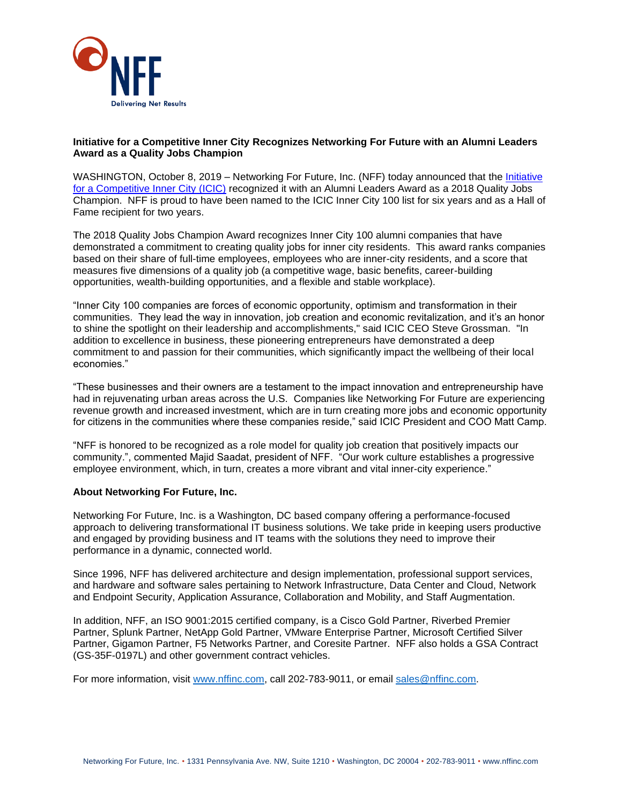

## **Initiative for a Competitive Inner City Recognizes Networking For Future with an Alumni Leaders Award as a Quality Jobs Champion**

WASHINGTON, October 8, 2019 – Networking For Future, Inc. (NFF) today announced that the Initiative [for a Competitive Inner City \(ICIC\)](http://icic.org/) recognized it with an Alumni Leaders Award as a 2018 Quality Jobs Champion. NFF is proud to have been named to the ICIC Inner City 100 list for six years and as a Hall of Fame recipient for two years.

The 2018 Quality Jobs Champion Award recognizes Inner City 100 alumni companies that have demonstrated a commitment to creating quality jobs for inner city residents. This award ranks companies based on their share of full-time employees, employees who are inner-city residents, and a score that measures five dimensions of a quality job (a competitive wage, basic benefits, career-building opportunities, wealth-building opportunities, and a flexible and stable workplace).

"Inner City 100 companies are forces of economic opportunity, optimism and transformation in their communities. They lead the way in innovation, job creation and economic revitalization, and it's an honor to shine the spotlight on their leadership and accomplishments," said ICIC CEO Steve Grossman. "In addition to excellence in business, these pioneering entrepreneurs have demonstrated a deep commitment to and passion for their communities, which significantly impact the wellbeing of their local economies."

"These businesses and their owners are a testament to the impact innovation and entrepreneurship have had in rejuvenating urban areas across the U.S. Companies like Networking For Future are experiencing revenue growth and increased investment, which are in turn creating more jobs and economic opportunity for citizens in the communities where these companies reside," said ICIC President and COO Matt Camp.

"NFF is honored to be recognized as a role model for quality job creation that positively impacts our community.", commented Majid Saadat, president of NFF. "Our work culture establishes a progressive employee environment, which, in turn, creates a more vibrant and vital inner-city experience."

## **About Networking For Future, Inc.**

Networking For Future, Inc. is a Washington, DC based company offering a performance-focused approach to delivering transformational IT business solutions. We take pride in keeping users productive and engaged by providing business and IT teams with the solutions they need to improve their performance in a dynamic, connected world.

Since 1996, NFF has delivered architecture and design implementation, professional support services, and hardware and software sales pertaining to Network Infrastructure, Data Center and Cloud, Network and Endpoint Security, Application Assurance, Collaboration and Mobility, and Staff Augmentation.

In addition, NFF, an ISO 9001:2015 certified company, is a Cisco Gold Partner, Riverbed Premier Partner, Splunk Partner, NetApp Gold Partner, VMware Enterprise Partner, Microsoft Certified Silver Partner, Gigamon Partner, F5 Networks Partner, and Coresite Partner. NFF also holds a GSA Contract (GS-35F-0197L) and other government contract vehicles.

For more information, visit [www.nffinc.com,](http://www.nffinc.com/) call 202-783-9011, or email [sales@nffinc.com.](mailto:sales@nffinc.com)